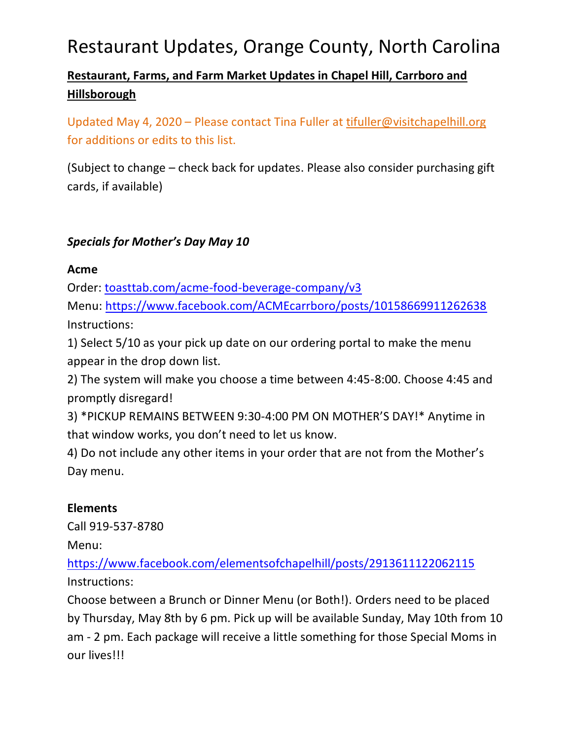### **Restaurant, Farms, and Farm Market Updates in Chapel Hill, Carrboro and Hillsborough**

Updated May 4, 2020 - Please contact Tina Fuller at [tifuller@visitchapelhill.org](mailto:tifuller@visitchapelhill.org) for additions or edits to this list.

(Subject to change – check back for updates. Please also consider purchasing gift cards, if available)

### *Specials for Mother's Day May 10*

#### **Acme**

Order: [toasttab.com/acme-food-beverage-company/v3](http://toasttab.com/acme-food-beverage-company/v3?fbclid=IwAR1cGi6TvuHj3YDh6L4eGWr7bW51MQ2AUddXQlU-_jNGKWC6oLucOfujflo)

Menu:<https://www.facebook.com/ACMEcarrboro/posts/10158669911262638> Instructions:

1) Select 5/10 as your pick up date on our ordering portal to make the menu appear in the drop down list.

2) The system will make you choose a time between 4:45-8:00. Choose 4:45 and promptly disregard!

3) \*PICKUP REMAINS BETWEEN 9:30-4:00 PM ON MOTHER'S DAY!\* Anytime in that window works, you don't need to let us know.

4) Do not include any other items in your order that are not from the Mother's Day menu.

### **Elements**

Call 919-537-8780

Menu:

<https://www.facebook.com/elementsofchapelhill/posts/2913611122062115> Instructions:

Choose between a Brunch or Dinner Menu (or Both!). Orders need to be placed by Thursday, May 8th by 6 pm. Pick up will be available Sunday, May 10th from 10 am - 2 pm. Each package will receive a little something for those Special Moms in our lives!!!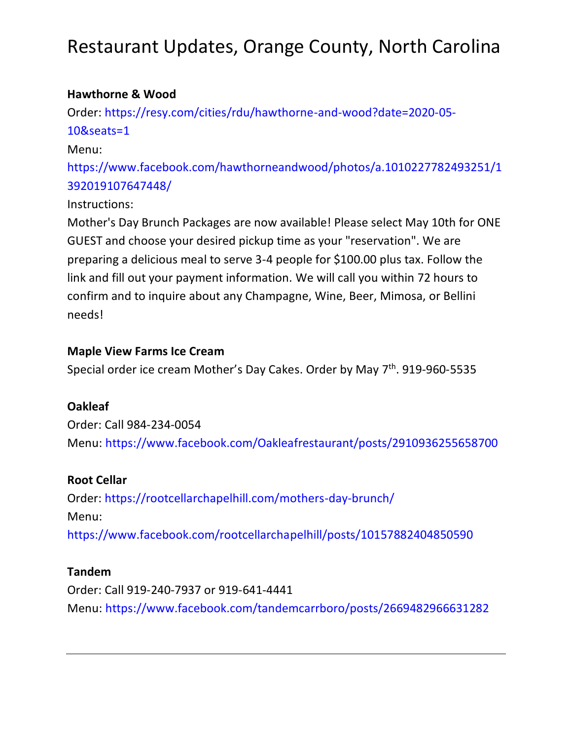#### **Hawthorne & Wood**

Order: [https://resy.com/cities/rdu/hawthorne-and-wood?date=2020-05-](https://resy.com/cities/rdu/hawthorne-and-wood?date=2020-05-10&seats=1) [10&seats=1](https://resy.com/cities/rdu/hawthorne-and-wood?date=2020-05-10&seats=1)

#### Menu:

[https://www.facebook.com/hawthorneandwood/photos/a.1010227782493251/1](https://www.facebook.com/hawthorneandwood/photos/a.1010227782493251/1392019107647448/?type=3) [392019107647448/](https://www.facebook.com/hawthorneandwood/photos/a.1010227782493251/1392019107647448/?type=3)

#### Instructions:

Mother's Day Brunch Packages are now available! Please select May 10th for ONE GUEST and choose your desired pickup time as your "reservation". We are preparing a delicious meal to serve 3-4 people for \$100.00 plus tax. Follow the link and fill out your payment information. We will call you within 72 hours to confirm and to inquire about any Champagne, Wine, Beer, Mimosa, or Bellini needs!

#### **Maple View Farms Ice Cream**

Special order ice cream Mother's Day Cakes. Order by May 7<sup>th</sup>. 919-960-5535

### **Oakleaf**

Order: Call 984-234-0054 Menu:<https://www.facebook.com/Oakleafrestaurant/posts/2910936255658700>

### **Root Cellar**

Order:<https://rootcellarchapelhill.com/mothers-day-brunch/> Menu: <https://www.facebook.com/rootcellarchapelhill/posts/10157882404850590>

#### **Tandem**

Order: Call 919-240-7937 or 919-641-4441 Menu:<https://www.facebook.com/tandemcarrboro/posts/2669482966631282>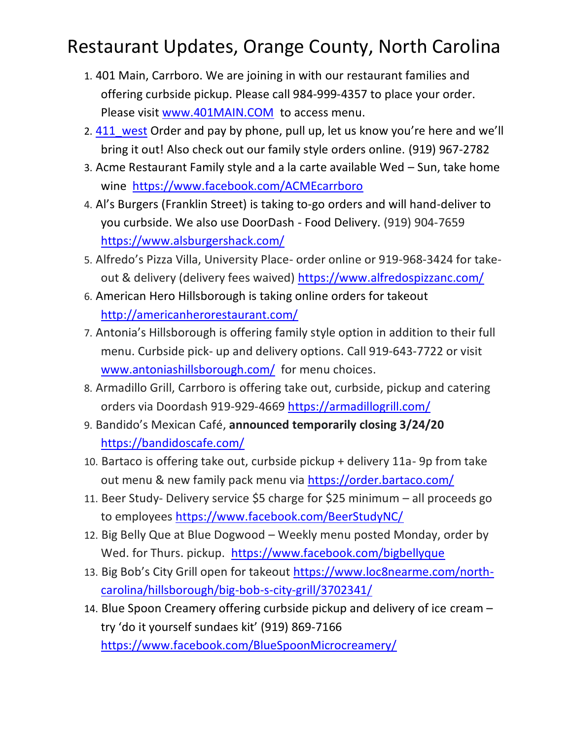- 1. 401 Main, Carrboro. We are joining in with our restaurant families and offering curbside pickup. Please call 984-999-4357 to place your order. Please visit [www.401MAIN.COM](http://www.401main.com/) to access menu.
- 2. [411\\_west](https://www.instagram.com/411_west/) Order and pay by phone, pull up, let us know you're here and we'll bring it out! Also check out our family style orders online. (919) 967-2782
- 3. Acme Restaurant Family style and a la carte available Wed Sun, take home wine <https://www.facebook.com/ACMEcarrboro>
- 4. Al's Burgers (Franklin Street) is taking to-go orders and will hand-deliver to you curbside. We also use DoorDash - Food Delivery. (919) 904-7659 <https://www.alsburgershack.com/>
- 5. Alfredo's Pizza Villa, University Place- order online or 919-968-3424 for takeout & delivery (delivery fees waived) <https://www.alfredospizzanc.com/>
- 6. American Hero Hillsborough is taking online orders for takeout <http://americanherorestaurant.com/>
- 7. Antonia's Hillsborough is offering family style option in addition to their full menu. Curbside pick- up and delivery options. Call 919-643-7722 or visit [www.antoniashillsborough.com/](http://www.antoniashillsborough.com/) for menu choices.
- 8. Armadillo Grill, Carrboro is offering take out, curbside, pickup and catering orders via Doordash 919-929-4669<https://armadillogrill.com/>
- 9. Bandido's Mexican Café, **announced temporarily closing 3/24/20** <https://bandidoscafe.com/>
- 10. Bartaco is offering take out, curbside pickup + delivery 11a- 9p from take out menu & new family pack menu via<https://order.bartaco.com/>
- 11. Beer Study- Delivery service \$5 charge for \$25 minimum all proceeds go to employees<https://www.facebook.com/BeerStudyNC/>
- 12. Big Belly Que at Blue Dogwood Weekly menu posted Monday, order by Wed. for Thurs. pickup. <https://www.facebook.com/bigbellyque>
- 13. Big Bob's City Grill open for takeout [https://www.loc8nearme.com/north](https://www.loc8nearme.com/north-carolina/hillsborough/big-bob-s-city-grill/3702341/)[carolina/hillsborough/big-bob-s-city-grill/3702341/](https://www.loc8nearme.com/north-carolina/hillsborough/big-bob-s-city-grill/3702341/)
- 14. Blue Spoon Creamery offering curbside pickup and delivery of ice cream try 'do it yourself sundaes kit' (919) 869-7166 <https://www.facebook.com/BlueSpoonMicrocreamery/>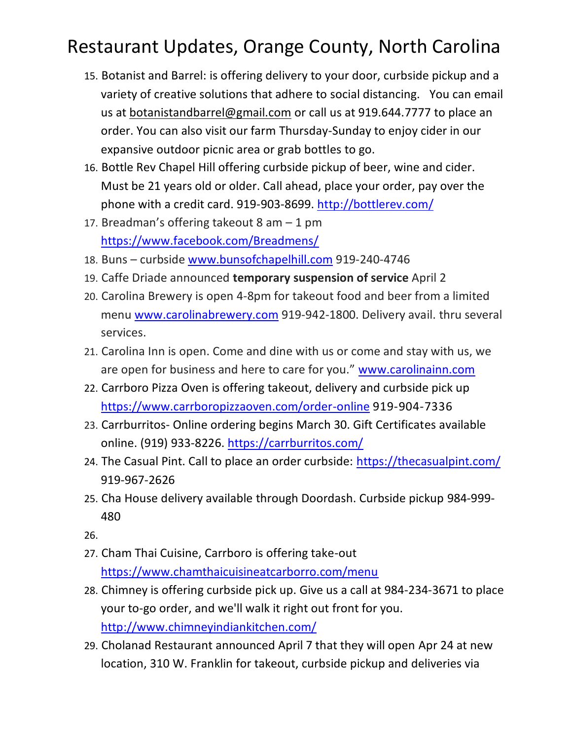- 15. Botanist and Barrel: is offering delivery to your door, curbside pickup and a variety of creative solutions that adhere to social distancing. You can email us at [botanistandbarrel@gmail.com](mailto:botanistandbarrel@gmail.com) or call us at 919.644.7777 to place an order. You can also visit our farm Thursday-Sunday to enjoy cider in our expansive outdoor picnic area or grab bottles to go.
- 16. Bottle Rev Chapel Hill offering curbside pickup of beer, wine and cider. Must be 21 years old or older. Call ahead, place your order, pay over the phone with a credit card. 919-903-8699.<http://bottlerev.com/>
- 17. Breadman's offering takeout 8 am 1 pm <https://www.facebook.com/Breadmens/>
- 18. Buns curbside [www.bunsofchapelhill.com](http://www.bunsofchapelhill.com/) 919-240-4746
- 19. Caffe Driade announced **temporary suspension of service** April 2
- 20. Carolina Brewery is open 4-8pm for takeout food and beer from a limited menu [www.carolinabrewery.com](http://www.carolinabrewery.com/) 919-942-1800. Delivery avail. thru several services.
- 21. Carolina Inn is open. Come and dine with us or come and stay with us, we are open for business and here to care for you." [www.carolinainn.com](http://www.carolinainn.com/)
- 22. Carrboro Pizza Oven is offering takeout, delivery and curbside pick up <https://www.carrboropizzaoven.com/order-online> 919-904-7336
- 23. Carrburritos- Online ordering begins March 30. Gift Certificates available online. (919) 933-8226. <https://carrburritos.com/>
- 24. The Casual Pint. Call to place an order curbside:<https://thecasualpint.com/> 919-967-2626
- 25. Cha House delivery available through Doordash. Curbside pickup 984-999- 480

26.

- 27. Cham Thai Cuisine, Carrboro is offering take-out <https://www.chamthaicuisineatcarborro.com/menu>
- 28. Chimney is offering curbside pick up. Give us a call at 984-234-3671 to place your to-go order, and we'll walk it right out front for you. <http://www.chimneyindiankitchen.com/>
- 29. Cholanad Restaurant announced April 7 that they will open Apr 24 at new location, 310 W. Franklin for takeout, curbside pickup and deliveries via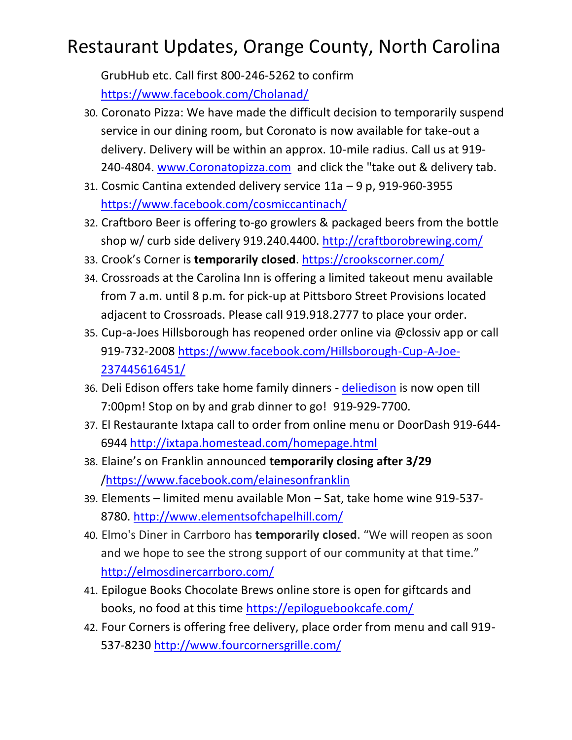GrubHub etc. Call first 800-246-5262 to confirm <https://www.facebook.com/Cholanad/>

- 30. Coronato Pizza: We have made the difficult decision to temporarily suspend service in our dining room, but Coronato is now available for take-out a delivery. Delivery will be within an approx. 10-mile radius. Call us at 919- 240-4804. [www.Coronatopizza.com](http://www.coronatopizza.com/) and click the "take out & delivery tab.
- 31. Cosmic Cantina extended delivery service 11a 9 p, 919-960-3955 <https://www.facebook.com/cosmiccantinach/>
- 32. Craftboro Beer is offering to-go growlers & packaged beers from the bottle shop w/ curb side delivery 919.240.4400.<http://craftborobrewing.com/>
- 33. Crook's Corner is **temporarily closed**. <https://crookscorner.com/>
- 34. Crossroads at the Carolina Inn is offering a limited takeout menu available from 7 a.m. until 8 p.m. for pick-up at Pittsboro Street Provisions located adjacent to Crossroads. Please call 919.918.2777 to place your order.
- 35. Cup-a-Joes Hillsborough has reopened order online via @clossiv app or call 919-732-2008 [https://www.facebook.com/Hillsborough-Cup-A-Joe-](https://www.facebook.com/Hillsborough-Cup-A-Joe-237445616451/)[237445616451/](https://www.facebook.com/Hillsborough-Cup-A-Joe-237445616451/)
- 36. Deli Edison offers take home family dinners [deliedison](https://www.instagram.com/deliedison/) is now open till 7:00pm! Stop on by and grab dinner to go! 919-929-7700.
- 37. El Restaurante Ixtapa call to order from online menu or DoorDash 919-644- 6944 <http://ixtapa.homestead.com/homepage.html>
- 38. Elaine's on Franklin announced **temporarily closing after 3/29** [/https://www.facebook.com/elainesonfranklin](https://www.facebook.com/elainesonfranklin)
- 39. Elements limited menu available Mon Sat, take home wine 919-537- 8780.<http://www.elementsofchapelhill.com/>
- 40. Elmo's Diner in Carrboro has **temporarily closed**. "We will reopen as soon and we hope to see the strong support of our community at that time." <http://elmosdinercarrboro.com/>
- 41. Epilogue Books Chocolate Brews online store is open for giftcards and books, no food at this time<https://epiloguebookcafe.com/>
- 42. Four Corners is offering free delivery, place order from menu and call 919- 537-8230<http://www.fourcornersgrille.com/>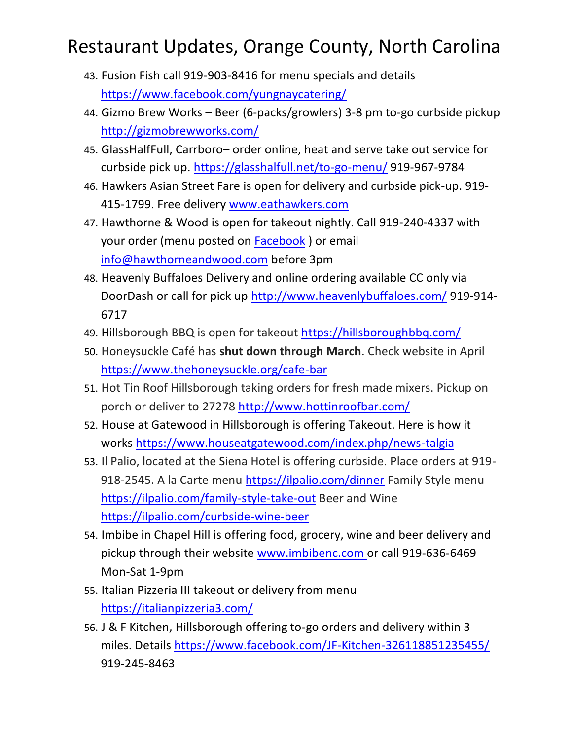- 43. Fusion Fish call 919-903-8416 for menu specials and details <https://www.facebook.com/yungnaycatering/>
- 44. Gizmo Brew Works Beer (6-packs/growlers) 3-8 pm to-go curbside pickup <http://gizmobrewworks.com/>
- 45. GlassHalfFull, Carrboro– order online, heat and serve take out service for curbside pick up.<https://glasshalfull.net/to-go-menu/> 919-967-9784
- 46. Hawkers Asian Street Fare is open for delivery and curbside pick-up. 919- 415-1799. Free delivery [www.eathawkers.com](http://www.eathawkers.com/)
- 47. Hawthorne & Wood is open for takeout nightly. Call 919-240-4337 with your order (menu posted on [Facebook](https://www.facebook.com/hawthorneandwood/) ) or email [info@hawthorneandwood.com](mailto:info@hawthorneandwood.com) before 3pm
- 48. Heavenly Buffaloes Delivery and online ordering available CC only via DoorDash or call for pick up<http://www.heavenlybuffaloes.com/> 919-914- 6717
- 49. Hillsborough BBQ is open for takeout <https://hillsboroughbbq.com/>
- 50. Honeysuckle Café has **shut down through March**. Check website in April <https://www.thehoneysuckle.org/cafe-bar>
- 51. Hot Tin Roof Hillsborough taking orders for fresh made mixers. Pickup on porch or deliver to 27278 <http://www.hottinroofbar.com/>
- 52. House at Gatewood in Hillsborough is offering Takeout. Here is how it works<https://www.houseatgatewood.com/index.php/news-talgia>
- 53. Il Palio, located at the Siena Hotel is offering curbside. Place orders at 919- 918-2545. A la Carte menu<https://ilpalio.com/dinner> Family Style menu <https://ilpalio.com/family-style-take-out> Beer and Wine <https://ilpalio.com/curbside-wine-beer>
- 54. Imbibe in Chapel Hill is offering food, grocery, wine and beer delivery and pickup through their website [www.imbibenc.com](https://l.facebook.com/l.php?u=http%3A%2F%2Fwww.imbibenc.com%2F%3Ffbclid%3DIwAR3utDv09eiJbqXeMp2X90uaURLyD8xds7gItva69QIo0bVQ6jTns4eWBPk&h=AT1T0konRL0qjz5In-I4YgBo5XmJqPYEBsXUOVhsLzZzKDW9SJ3mT73zaxWyzS8XC9V-00Z9zCXHXCelF-tzFNMF98_SGI04527Xb6_6315RuECw6BxLGc2W3_t9h6ut0k8r) or call 919-636-6469 Mon-Sat 1-9pm
- 55. Italian Pizzeria III takeout or delivery from menu <https://italianpizzeria3.com/>
- 56. J & F Kitchen, Hillsborough offering to-go orders and delivery within 3 miles. Details<https://www.facebook.com/JF-Kitchen-326118851235455/> 919-245-8463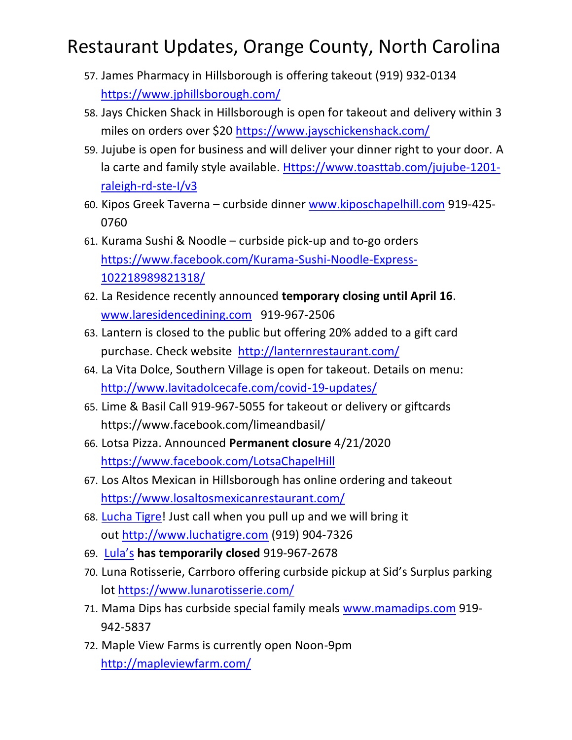- 57. James Pharmacy in Hillsborough is offering takeout (919) 932-0134 <https://www.jphillsborough.com/>
- 58. Jays Chicken Shack in Hillsborough is open for takeout and delivery within 3 miles on orders over \$20 <https://www.jayschickenshack.com/>
- 59. Jujube is open for business and will deliver your dinner right to your door. A la carte and family style available. [Https://www.toasttab.com/jujube-1201](https://www.toasttab.com/jujube-1201-raleigh-rd-ste-I/v3) [raleigh-rd-ste-I/v3](https://www.toasttab.com/jujube-1201-raleigh-rd-ste-I/v3)
- 60. Kipos Greek Taverna curbside dinner [www.kiposchapelhill.com](http://www.kiposchapelhill.com/) 919-425- 0760
- 61. Kurama Sushi & Noodle curbside pick-up and to-go orders [https://www.facebook.com/Kurama-Sushi-Noodle-Express-](https://www.facebook.com/Kurama-Sushi-Noodle-Express-102218989821318/)[102218989821318/](https://www.facebook.com/Kurama-Sushi-Noodle-Express-102218989821318/)
- 62. La Residence recently announced **temporary closing until April 16**. [www.laresidencedining.com](http://www.laresidencedining.com/?fbclid=IwAR0HDu4277nok96mHgTaVhRKnhF0FEX74zkk2qeJIQWg405FWgVmn-vPfUk) 919-967-2506
- 63. Lantern is closed to the public but offering 20% added to a gift card purchase. Check website <http://lanternrestaurant.com/>
- 64. La Vita Dolce, Southern Village is open for takeout. Details on menu: <http://www.lavitadolcecafe.com/covid-19-updates/>
- 65. Lime & Basil Call 919-967-5055 for takeout or delivery or giftcards https://www.facebook.com/limeandbasil/
- 66. Lotsa Pizza. Announced **Permanent closure** 4/21/2020 <https://www.facebook.com/LotsaChapelHill>
- 67. Los Altos Mexican in Hillsborough has online ordering and takeout <https://www.losaltosmexicanrestaurant.com/>
- 68. [Lucha Tigre!](https://www.facebook.com/LuchaTigre/?hc_location=ufi) Just call when you pull up and we will bring it out [http://www.luchatigre.com](https://l.facebook.com/l.php?u=http%3A%2F%2Fwww.luchatigre.com%2F%3Ffbclid%3DIwAR1ri0WZ_F2p9OJrnrKzXzvL06AqfP9d4Vp7sARYF-dWfMElC4GRuHxyzF8&h=AT3fZzTkv2T0NNq7RAEeg4lTAxODUNrxYSHCbhmcDCwIJJuISCInL3vxozWrAzq7LtinAhD9GE0T-3hyfjSxgAsGYT5xJfth8xVd7xRJtv88RiZND00Rkl-Pi1lmksSRdt_R) (919) 904-7326
- 69. [Lula's](https://www.facebook.com/lulaschnc/?hc_location=ufi) **has temporarily closed** 919-967-2678
- 70. Luna Rotisserie, Carrboro offering curbside pickup at Sid's Surplus parking lot<https://www.lunarotisserie.com/>
- 71. Mama Dips has curbside special family meals [www.mamadips.com](http://www.mamadips.com/) 919- 942-5837
- 72. Maple View Farms is currently open Noon-9pm <http://mapleviewfarm.com/>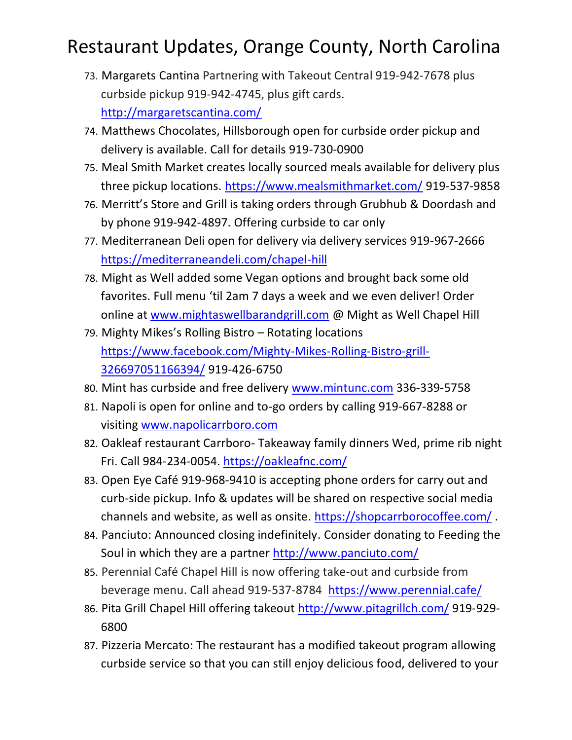- 73. Margarets Cantina Partnering with Takeout Central 919-942-7678 plus curbside pickup 919-942-4745, plus gift cards. <http://margaretscantina.com/>
- 74. Matthews Chocolates, Hillsborough open for curbside order pickup and delivery is available. Call for details 919-730-0900
- 75. Meal Smith Market creates locally sourced meals available for delivery plus three pickup locations.<https://www.mealsmithmarket.com/> 919-537-9858
- 76. Merritt's Store and Grill is taking orders through Grubhub & Doordash and by phone 919-942-4897. Offering curbside to car only
- 77. Mediterranean Deli open for delivery via delivery services 919-967-2666 <https://mediterraneandeli.com/chapel-hill>
- 78. Might as Well added some Vegan options and brought back some old favorites. Full menu 'til 2am 7 days a week and we even deliver! Order online at [www.mightaswellbarandgrill.com](http://www.mightaswellbarandgrill.com/?fbclid=IwAR2OIDn1xAQt7bCobFu1l4T56kxutVEH_Fv8GlQ1nxcjx6YYgYcC21SFWdw) @ Might as Well Chapel Hill
- 79. Mighty Mikes's Rolling Bistro Rotating locations [https://www.facebook.com/Mighty-Mikes-Rolling-Bistro-grill-](https://www.facebook.com/Mighty-Mikes-Rolling-Bistro-grill-326697051166394/)[326697051166394/](https://www.facebook.com/Mighty-Mikes-Rolling-Bistro-grill-326697051166394/) 919-426-6750
- 80. Mint has curbside and free delivery [www.mintunc.com](http://www.mintunc.com/) 336-339-5758
- 81. Napoli is open for online and to-go orders by calling 919-667-8288 or visiting [www.napolicarrboro.com](http://www.napolicarrboro.com/)
- 82. Oakleaf restaurant Carrboro- Takeaway family dinners Wed, prime rib night Fri. Call 984-234-0054.<https://oakleafnc.com/>
- 83. Open Eye Café 919-968-9410 is accepting phone orders for carry out and curb-side pickup. Info & updates will be shared on respective social media channels and website, as well as onsite. [https://shopcarrborocoffee.com/](https://urldefense.proofpoint.com/v2/url?u=https-3A__shopcarrborocoffee.com_&d=DwMFaQ&c=JRU6Crajf79kKcplUJFHFfpcQ9GkS9xWLut8YRTooJY&r=OMh2XwgJGSgOJ-Qji8Ir9_Qmlj465KA6semq5RyR5W8&m=b0dJ40JwWD3sQYlAc1V87nCD1-V3z1_ITOc3Q9Hy29c&s=w6bQsZTvdICw-OSlaI9ttJmQT8rSGNS8OIxL3b4mpy0&e=).
- 84. Panciuto: Announced closing indefinitely. Consider donating to Feeding the Soul in which they are a partner http://www.panciuto.com/
- 85. Perennial Café Chapel Hill is now offering take-out and curbside from beverage menu. Call ahead 919-537-8784 <https://www.perennial.cafe/>
- 86. Pita Grill Chapel Hill offering takeout<http://www.pitagrillch.com/> 919-929- 6800
- 87. Pizzeria Mercato: The restaurant has a modified takeout program allowing curbside service so that you can still enjoy delicious food, delivered to your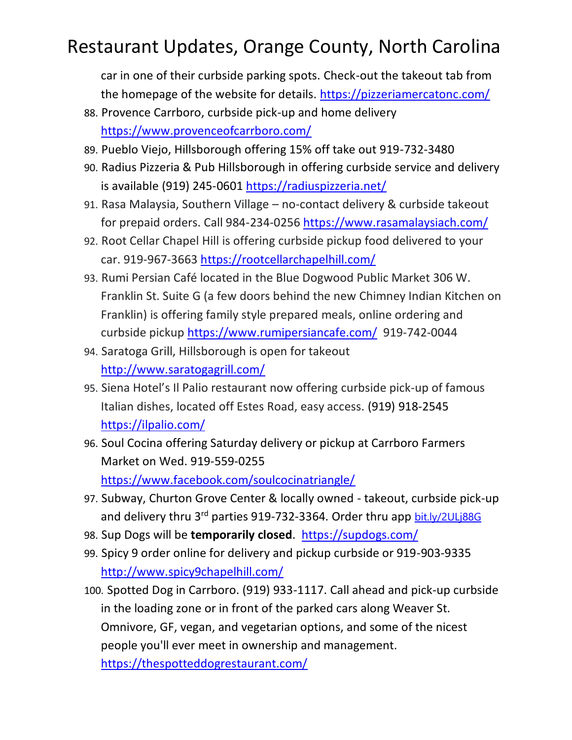car in one of their curbside parking spots. Check-out the takeout tab from the homepage of the website for details.<https://pizzeriamercatonc.com/>

- 88. Provence Carrboro, curbside pick-up and home delivery <https://www.provenceofcarrboro.com/>
- 89. Pueblo Viejo, Hillsborough offering 15% off take out 919-732-3480
- 90. Radius Pizzeria & Pub Hillsborough in offering curbside service and delivery is available (919) 245-0601<https://radiuspizzeria.net/>
- 91. Rasa Malaysia, Southern Village no-contact delivery & curbside takeout for prepaid orders. Call 984-234-0256<https://www.rasamalaysiach.com/>
- 92. Root Cellar Chapel Hill is offering curbside pickup food delivered to your car. 919-967-3663<https://rootcellarchapelhill.com/>
- 93. Rumi Persian Café located in the Blue Dogwood Public Market 306 W. Franklin St. Suite G (a few doors behind the new Chimney Indian Kitchen on Franklin) is offering family style prepared meals, online ordering and curbside pickup<https://www.rumipersiancafe.com/> 919-742-0044
- 94. Saratoga Grill, Hillsborough is open for takeout <http://www.saratogagrill.com/>
- 95. Siena Hotel's Il Palio restaurant now offering curbside pick-up of famous Italian dishes, located off Estes Road, easy access. (919) 918-2545 <https://ilpalio.com/>
- 96. Soul Cocina offering Saturday delivery or pickup at Carrboro Farmers Market on Wed. 919-559-0255 <https://www.facebook.com/soulcocinatriangle/>
- 97. Subway, Churton Grove Center & locally owned takeout, curbside pick-up and delivery thru 3<sup>rd</sup> parties 919-732-3364. Order thru app [bit.ly/2ULj88G](https://urldefense.proofpoint.com/v2/url?u=http-3A__bit.ly_2ULj88G&d=DwMFaQ&c=JRU6Crajf79kKcplUJFHFfpcQ9GkS9xWLut8YRTooJY&r=2uOyjFQHTsX70Wd6sy9cT2zvuv3fy4eacOTku-mnjlI&m=IbAO9aRoaEatmTXrqw9twBCpgwlvEXgmp15OqbPEoUk&s=hFLJgwY8vKpQl3OI8cTfHTilPfik7kym3DM1DX4wuDE&e=)
- 98. Sup Dogs will be **temporarily closed**. <https://supdogs.com/>
- 99. Spicy 9 order online for delivery and pickup curbside or 919-903-9335 <http://www.spicy9chapelhill.com/>

100. Spotted Dog in Carrboro. (919) 933-1117. Call ahead and pick-up curbside in the loading zone or in front of the parked cars along Weaver St. Omnivore, GF, vegan, and vegetarian options, and some of the nicest people you'll ever meet in ownership and management. <https://thespotteddogrestaurant.com/>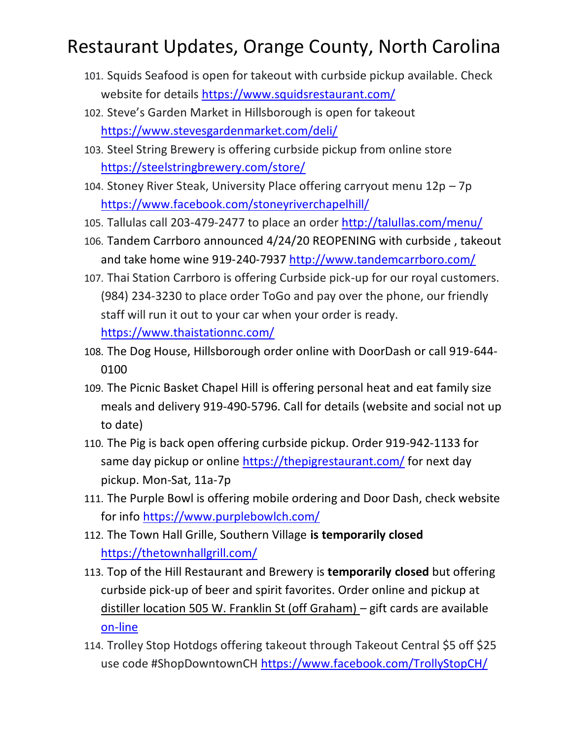- 101. Squids Seafood is open for takeout with curbside pickup available. Check website for details<https://www.squidsrestaurant.com/>
- 102. Steve's Garden Market in Hillsborough is open for takeout <https://www.stevesgardenmarket.com/deli/>
- 103. Steel String Brewery is offering curbside pickup from online store <https://steelstringbrewery.com/store/>
- 104. Stoney River Steak, University Place offering carryout menu 12p 7p <https://www.facebook.com/stoneyriverchapelhill/>
- 105. Tallulas call 203-479-2477 to place an order<http://talullas.com/menu/>
- 106. Tandem Carrboro announced 4/24/20 REOPENING with curbside , takeout and take home wine 919-240-7937<http://www.tandemcarrboro.com/>
- 107. Thai Station Carrboro is offering Curbside pick-up for our royal customers. (984) 234-3230 to place order ToGo and pay over the phone, our friendly staff will run it out to your car when your order is ready. <https://www.thaistationnc.com/>
- 108. The Dog House, Hillsborough order online with DoorDash or call 919-644- 0100
- 109. The Picnic Basket Chapel Hill is offering personal heat and eat family size meals and delivery 919-490-5796. Call for details (website and social not up to date)
- 110. The Pig is back open offering curbside pickup. Order 919-942-1133 for same day pickup or online<https://thepigrestaurant.com/> for next day pickup. Mon-Sat, 11a-7p
- 111. The Purple Bowl is offering mobile ordering and Door Dash, check website for info<https://www.purplebowlch.com/>
- 112. The Town Hall Grille, Southern Village **is temporarily closed**  <https://thetownhallgrill.com/>
- 113. Top of the Hill Restaurant and Brewery is **temporarily closed** but offering curbside pick-up of beer and spirit favorites. Order online and pickup at distiller location 505 W. Franklin St (off Graham) – gift cards are available [on-line](https://www.thetopofthehill.com/shop/gift-certificate)
- 114. Trolley Stop Hotdogs offering takeout through Takeout Central \$5 off \$25 use code #ShopDowntownCH<https://www.facebook.com/TrollyStopCH/>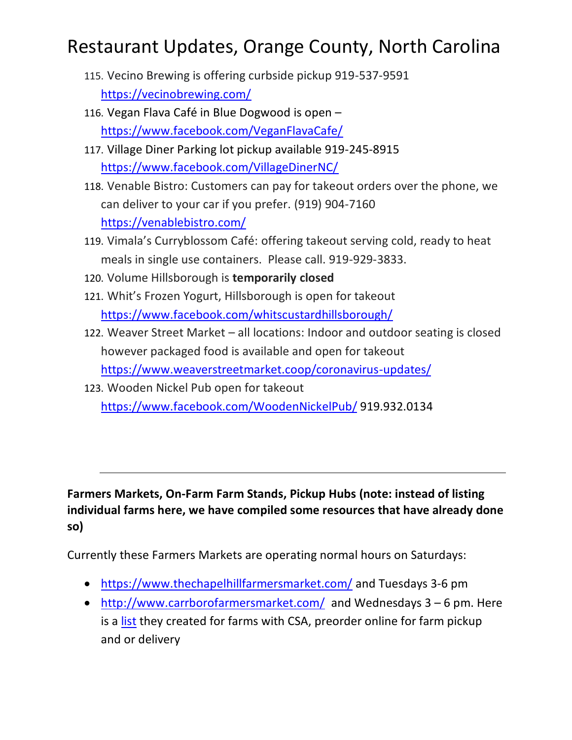- 115. Vecino Brewing is offering curbside pickup 919-537-9591 <https://vecinobrewing.com/>
- 116. Vegan Flava Café in Blue Dogwood is open <https://www.facebook.com/VeganFlavaCafe/>
- 117. Village Diner Parking lot pickup available 919-245-8915 <https://www.facebook.com/VillageDinerNC/>
- 118. Venable Bistro: Customers can pay for takeout orders over the phone, we can deliver to your car if you prefer. (919) 904-7160 <https://venablebistro.com/>
- 119. Vimala's Curryblossom Café: offering takeout serving cold, ready to heat meals in single use containers. Please call. 919-929-3833.
- 120. Volume Hillsborough is **temporarily closed**
- 121. Whit's Frozen Yogurt, Hillsborough is open for takeout <https://www.facebook.com/whitscustardhillsborough/>
- 122. Weaver Street Market all locations: Indoor and outdoor seating is closed however packaged food is available and open for takeout <https://www.weaverstreetmarket.coop/coronavirus-updates/>
- 123. Wooden Nickel Pub open for takeout <https://www.facebook.com/WoodenNickelPub/> 919.932.0134

**Farmers Markets, On-Farm Farm Stands, Pickup Hubs (note: instead of listing individual farms here, we have compiled some resources that have already done so)**

Currently these Farmers Markets are operating normal hours on Saturdays:

- <https://www.thechapelhillfarmersmarket.com/> and Tuesdays 3-6 pm
- <http://www.carrborofarmersmarket.com/>and Wednesdays 3 6 pm. Here is a [list](https://static1.squarespace.com/static/54a70a0ae4b02cb3ce0d4ade/t/5e750c79de809866cedfebf2/1584729210471/CFM+Vendor+Services.pdf) they created for farms with CSA, preorder online for farm pickup and or delivery